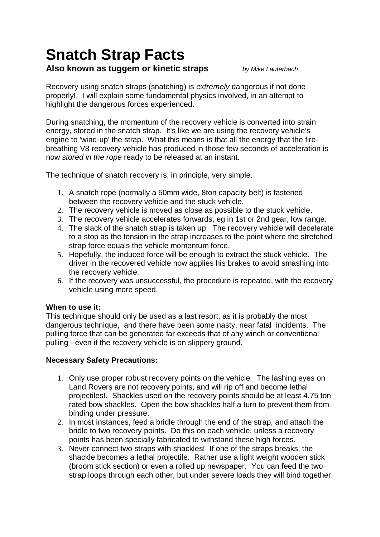# **Snatch Strap Facts**

## **Also known as tuggem or kinetic straps** *by Mike Lauterbach*

Recovery using snatch straps (snatching) is *extremely* dangerous if not done properly!. I will explain some fundamental physics involved, in an attempt to highlight the dangerous forces experienced.

During snatching, the momentum of the recovery vehicle is converted into strain energy, stored in the snatch strap. It's like we are using the recovery vehicle's engine to 'wind-up' the strap. What this means is that all the energy that the firebreathing V8 recovery vehicle has produced in those few seconds of acceleration is now *stored in the rope* ready to be released at an instant.

The technique of snatch recovery is, in principle, very simple.

- 1. A snatch rope (normally a 50mm wide, 8ton capacity belt) is fastened between the recovery vehicle and the stuck vehicle.
- 2. The recovery vehicle is moved as close as possible to the stuck vehicle,
- 3. The recovery vehicle accelerates forwards, eg in 1st or 2nd gear, low range.
- 4. The slack of the snatch strap is taken up. The recovery vehicle will decelerate to a stop as the tension in the strap increases to the point where the stretched strap force equals the vehicle momentum force.
- 5. Hopefully, the induced force will be enough to extract the stuck vehicle. The driver in the recovered vehicle now applies his brakes to avoid smashing into the recovery vehicle.
- 6. If the recovery was unsuccessful, the procedure is repeated, with the recovery vehicle using more speed.

#### **When to use it:**

This technique should only be used as a last resort, as it is probably the most dangerous technique, and there have been some nasty, near fatal incidents. The pulling force that can be generated far exceeds that of any winch or conventional pulling - even if the recovery vehicle is on slippery ground.

#### **Necessary Safety Precautions:**

- 1. Only use proper robust recovery points on the vehicle. The lashing eyes on Land Rovers are not recovery points, and will rip off and become lethal projectiles!. Shackles used on the recovery points should be at least 4.75 ton rated bow shackles. Open the bow shackles half a turn to prevent them from binding under pressure.
- 2. In most instances, feed a bridle through the end of the strap, and attach the bridle to two recovery points. Do this on each vehicle, unless a recovery points has been specially fabricated to withstand these high forces.
- 3. Never connect two straps with shackles! If one of the straps breaks, the shackle becomes a lethal projectile. Rather use a light weight wooden stick (broom stick section) or even a rolled up newspaper. You can feed the two strap loops through each other, but under severe loads they will bind together,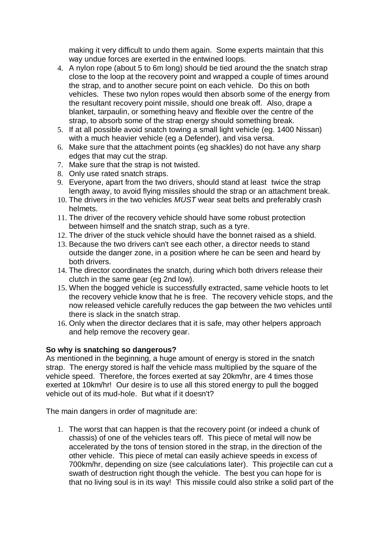making it very difficult to undo them again. Some experts maintain that this way undue forces are exerted in the entwined loops.

- 4. A nylon rope (about 5 to 6m long) should be tied around the the snatch strap close to the loop at the recovery point and wrapped a couple of times around the strap, and to another secure point on each vehicle. Do this on both vehicles. These two nylon ropes would then absorb some of the energy from the resultant recovery point missile, should one break off. Also, drape a blanket, tarpaulin, or something heavy and flexible over the centre of the strap, to absorb some of the strap energy should something break.
- 5. If at all possible avoid snatch towing a small light vehicle (eg. 1400 Nissan) with a much heavier vehicle (eg a Defender), and visa versa.
- 6. Make sure that the attachment points (eg shackles) do not have any sharp edges that may cut the strap.
- 7. Make sure that the strap is not twisted.
- 8. Only use rated snatch straps.
- 9. Everyone, apart from the two drivers, should stand at least twice the strap length away, to avoid flying missiles should the strap or an attachment break.
- 10. The drivers in the two vehicles *MUST* wear seat belts and preferably crash helmets.
- 11. The driver of the recovery vehicle should have some robust protection between himself and the snatch strap, such as a tyre.
- 12. The driver of the stuck vehicle should have the bonnet raised as a shield.
- 13. Because the two drivers can't see each other, a director needs to stand outside the danger zone, in a position where he can be seen and heard by both drivers.
- 14. The director coordinates the snatch, during which both drivers release their clutch in the same gear (eg 2nd low).
- 15. When the bogged vehicle is successfully extracted, same vehicle hoots to let the recovery vehicle know that he is free. The recovery vehicle stops, and the now released vehicle carefully reduces the gap between the two vehicles until there is slack in the snatch strap.
- 16. Only when the director declares that it is safe, may other helpers approach and help remove the recovery gear.

#### **So why is snatching so dangerous?**

As mentioned in the beginning, a huge amount of energy is stored in the snatch strap. The energy stored is half the vehicle mass multiplied by the square of the vehicle speed. Therefore, the forces exerted at say 20km/hr, are 4 times those exerted at 10km/hr! Our desire is to use all this stored energy to pull the bogged vehicle out of its mud-hole. But what if it doesn't?

The main dangers in order of magnitude are:

1. The worst that can happen is that the recovery point (or indeed a chunk of chassis) of one of the vehicles tears off. This piece of metal will now be accelerated by the tons of tension stored in the strap, in the direction of the other vehicle. This piece of metal can easily achieve speeds in excess of 700km/hr, depending on size (see calculations later). This projectile can cut a swath of destruction right though the vehicle. The best you can hope for is that no living soul is in its way! This missile could also strike a solid part of the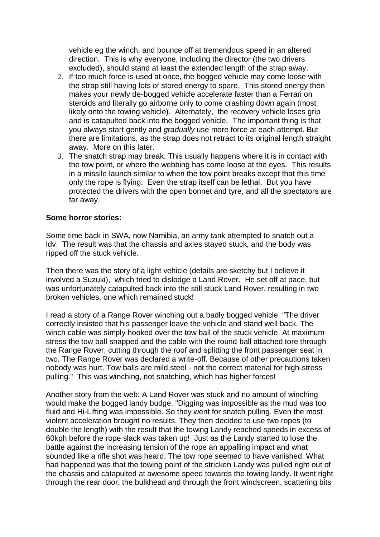vehicle eg the winch, and bounce off at tremendous speed in an altered direction. This is why everyone, including the director (the two drivers excluded), should stand at least the extended length of the strap away.

- 2. If too much force is used at once, the bogged vehicle may come loose with the strap still having lots of stored energy to spare. This stored energy then makes your newly de-bogged vehicle accelerate faster than a Ferrari on steroids and literally go airborne only to come crashing down again (most likely onto the towing vehicle). Alternately, the recovery vehicle loses grip and is catapulted back into the bogged vehicle. The important thing is that you always start gently and *gradually* use more force at each attempt. But there are limitations, as the strap does not retract to its original length straight away. More on this later.
- 3. The snatch strap may break. This usually happens where it is in contact with the tow point, or where the webbing has come loose at the eyes. This results in a missile launch similar to when the tow point breaks except that this time only the rope is flying. Even the strap itself can be lethal. But you have protected the drivers with the open bonnet and tyre, and all the spectators are far away.

#### **Some horror stories:**

Some time back in SWA, now Namibia, an army tank attempted to snatch out a ldv. The result was that the chassis and axles stayed stuck, and the body was ripped off the stuck vehicle.

Then there was the story of a light vehicle (details are sketchy but I believe it involved a Suzuki), which tried to dislodge a Land Rover. He set off at pace, but was unfortunately catapulted back into the still stuck Land Rover, resulting in two broken vehicles, one which remained stuck!

I read a story of a Range Rover winching out a badly bogged vehicle. "The driver correctly insisted that his passenger leave the vehicle and stand well back. The winch cable was simply hooked over the tow ball of the stuck vehicle. At maximum stress the tow ball snapped and the cable with the round ball attached tore through the Range Rover, cutting through the roof and splitting the front passenger seat in two. The Range Rover was declared a write-off. Because of other precautions taken nobody was hurt. Tow balls are mild steel - not the correct material for high-stress pulling." This was winching, not snatching, which has higher forces!

Another story from the web: A Land Rover was stuck and no amount of winching would make the bogged landy budge. "Digging was impossible as the mud was too fluid and Hi-Lifting was impossible. So they went for snatch pulling. Even the most violent acceleration brought no results. They then decided to use two ropes (to double the length) with the result that the towing Landy reached speeds in excess of 60kph before the rope slack was taken up! Just as the Landy started to lose the battle against the increasing tension of the rope an appalling impact and what sounded like a rifle shot was heard. The tow rope seemed to have vanished. What had happened was that the towing point of the stricken Landy was pulled right out of the chassis and catapulted at awesome speed towards the towing landy. It went right through the rear door, the bulkhead and through the front windscreen, scattering bits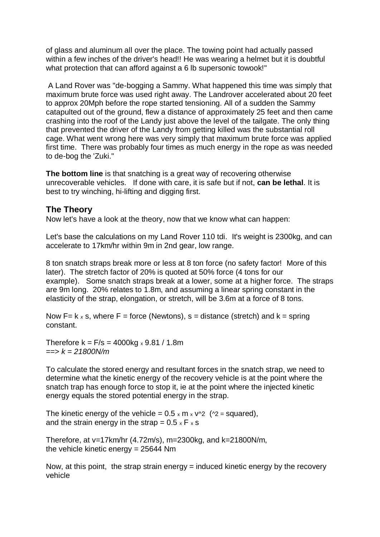of glass and aluminum all over the place. The towing point had actually passed within a few inches of the driver's head!! He was wearing a helmet but it is doubtful what protection that can afford against a 6 lb supersonic towook!"

A Land Rover was "de-bogging a Sammy. What happened this time was simply that maximum brute force was used right away. The Landrover accelerated about 20 feet to approx 20Mph before the rope started tensioning. All of a sudden the Sammy catapulted out of the ground, flew a distance of approximately 25 feet and then came crashing into the roof of the Landy just above the level of the tailgate. The only thing that prevented the driver of the Landy from getting killed was the substantial roll cage. What went wrong here was very simply that maximum brute force was applied first time. There was probably four times as much energy in the rope as was needed to de-bog the 'Zuki."

**The bottom line** is that snatching is a great way of recovering otherwise unrecoverable vehicles. If done with care, it is safe but if not, **can be lethal**. It is best to try winching, hi-lifting and digging first.

### **The Theory**

Now let's have a look at the theory, now that we know what can happen:

Let's base the calculations on my Land Rover 110 tdi. It's weight is 2300kg, and can accelerate to 17km/hr within 9m in 2nd gear, low range.

8 ton snatch straps break more or less at 8 ton force (no safety factor! More of this later). The stretch factor of 20% is quoted at 50% force (4 tons for our example). Some snatch straps break at a lower, some at a higher force. The straps are 9m long. 20% relates to 1.8m, and assuming a linear spring constant in the elasticity of the strap, elongation, or stretch, will be 3.6m at a force of 8 tons.

Now  $F = k \times s$ , where  $F =$  force (Newtons),  $s =$  distance (stretch) and  $k =$  spring constant.

Therefore  $k = F/s = 4000kg \times 9.81 / 1.8m$ ==> *k = 21800N/m*

To calculate the stored energy and resultant forces in the snatch strap, we need to determine what the kinetic energy of the recovery vehicle is at the point where the snatch trap has enough force to stop it, ie at the point where the injected kinetic energy equals the stored potential energy in the strap.

The kinetic energy of the vehicle =  $0.5 \times m \times v^2$  ( $2 =$  squared), and the strain energy in the strap =  $0.5 \times F \times S$ 

Therefore, at v=17km/hr (4.72m/s), m=2300kg, and k=21800N/m, the vehicle kinetic energy = 25644 Nm

Now, at this point, the strap strain energy  $=$  induced kinetic energy by the recovery vehicle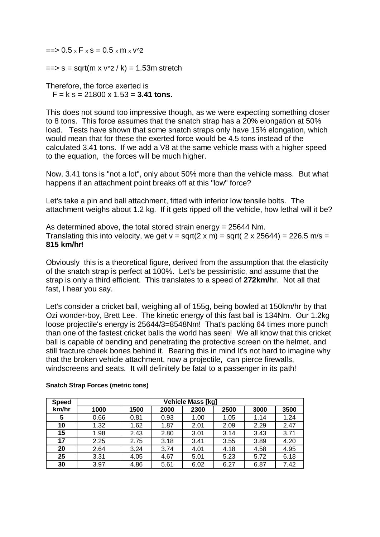$\Rightarrow$  0.5 x F x s = 0.5 x m x  $\sqrt{2}$ 

 $\Rightarrow$  s = sqrt(m x  $v^2$  / k) = 1.53m stretch

Therefore, the force exerted is F = k s = 21800 x 1.53 = **3.41 tons**.

This does not sound too impressive though, as we were expecting something closer to 8 tons. This force assumes that the snatch strap has a 20% elongation at 50% load. Tests have shown that some snatch straps only have 15% elongation, which would mean that for these the exerted force would be 4.5 tons instead of the calculated 3.41 tons. If we add a V8 at the same vehicle mass with a higher speed to the equation, the forces will be much higher.

Now, 3.41 tons is "not a lot", only about 50% more than the vehicle mass. But what happens if an attachment point breaks off at this "low" force?

Let's take a pin and ball attachment, fitted with inferior low tensile bolts. The attachment weighs about 1.2 kg. If it gets ripped off the vehicle, how lethal will it be?

As determined above, the total stored strain energy = 25644 Nm. Translating this into velocity, we get  $v = \sqrt{(2 \times m)} = \sqrt{(2 \times 25644)} = 226.5 \text{ m/s} =$ **815 km/hr**!

Obviously this is a theoretical figure, derived from the assumption that the elasticity of the snatch strap is perfect at 100%. Let's be pessimistic, and assume that the strap is only a third efficient. This translates to a speed of **272km/h**r. Not all that fast, I hear you say.

Let's consider a cricket ball, weighing all of 155g, being bowled at 150km/hr by that Ozi wonder-boy, Brett Lee. The kinetic energy of this fast ball is 134Nm. Our 1.2kg loose projectile's energy is 25644/3=8548Nm! That's packing 64 times more punch than one of the fastest cricket balls the world has seen! We all know that this cricket ball is capable of bending and penetrating the protective screen on the helmet, and still fracture cheek bones behind it. Bearing this in mind It's not hard to imagine why that the broken vehicle attachment, now a projectile, can pierce firewalls, windscreens and seats. It will definitely be fatal to a passenger in its path!

| <b>Speed</b> | <b>Vehicle Mass [kg]</b> |      |      |      |      |      |      |
|--------------|--------------------------|------|------|------|------|------|------|
| km/hr        | 1000                     | 1500 | 2000 | 2300 | 2500 | 3000 | 3500 |
| 5            | 0.66                     | 0.81 | 0.93 | 1.00 | 1.05 | 1.14 | 1.24 |
| 10           | 1.32                     | 1.62 | 1.87 | 2.01 | 2.09 | 2.29 | 2.47 |
| 15           | 1.98                     | 2.43 | 2.80 | 3.01 | 3.14 | 3.43 | 3.71 |
| 17           | 2.25                     | 2.75 | 3.18 | 3.41 | 3.55 | 3.89 | 4.20 |
| 20           | 2.64                     | 3.24 | 3.74 | 4.01 | 4.18 | 4.58 | 4.95 |
| 25           | 3.31                     | 4.05 | 4.67 | 5.01 | 5.23 | 5.72 | 6.18 |
| 30           | 3.97                     | 4.86 | 5.61 | 6.02 | 6.27 | 6.87 | 7.42 |

#### **Snatch Strap Forces (metric tons)**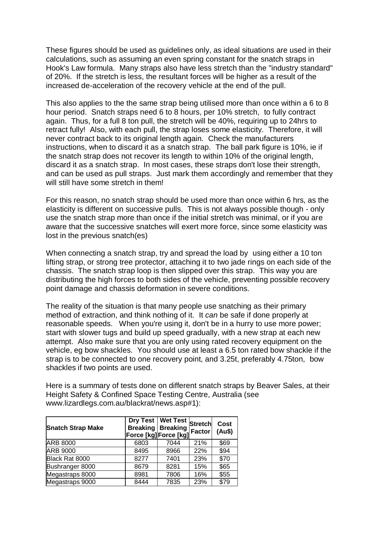These figures should be used as guidelines only, as ideal situations are used in their calculations, such as assuming an even spring constant for the snatch straps in Hook's Law formula. Many straps also have less stretch than the "industry standard" of 20%. If the stretch is less, the resultant forces will be higher as a result of the increased de-acceleration of the recovery vehicle at the end of the pull.

This also applies to the the same strap being utilised more than once within a 6 to 8 hour period. Snatch straps need 6 to 8 hours, per 10% stretch, to fully contract again. Thus, for a full 8 ton pull, the stretch will be 40%, requiring up to 24hrs to retract fully! Also, with each pull, the strap loses some elasticity. Therefore, it will never contract back to its original length again. Check the manufacturers instructions, when to discard it as a snatch strap. The ball park figure is 10%, ie if the snatch strap does not recover its length to within 10% of the original length, discard it as a snatch strap. In most cases, these straps don't lose their strength, and can be used as pull straps. Just mark them accordingly and remember that they will still have some stretch in them!

For this reason, no snatch strap should be used more than once within 6 hrs, as the elasticity is different on successive pulls. This is not always possible though - only use the snatch strap more than once if the initial stretch was minimal, or if you are aware that the successive snatches will exert more force, since some elasticity was lost in the previous snatch(es)

When connecting a snatch strap, try and spread the load by using either a 10 ton lifting strap, or strong tree protector, attaching it to two jade rings on each side of the chassis. The snatch strap loop is then slipped over this strap. This way you are distributing the high forces to both sides of the vehicle, preventing possible recovery point damage and chassis deformation in severe conditions.

The reality of the situation is that many people use snatching as their primary method of extraction, and think nothing of it. It *can* be safe if done properly at reasonable speeds. When you're using it, don't be in a hurry to use more power; start with slower tugs and build up speed gradually, with a new strap at each new attempt. Also make sure that you are only using rated recovery equipment on the vehicle, eg bow shackles. You should use at least a 6.5 ton rated bow shackle if the strap is to be connected to one recovery point, and 3.25t, preferably 4.75ton, bow shackles if two points are used.

Here is a summary of tests done on different snatch straps by Beaver Sales, at their Height Safety & Confined Space Testing Centre, Australia (see www.lizardlegs.com.au/blackrat/news.asp#1):

| <b>Snatch Strap Make</b> |      | Dry Test   Wet Test   Stretch  <br><b>Breaking   Breaking</b><br>Force [kg] Force [kg] | <b>Factor</b> | Cost<br>(Au\$) |
|--------------------------|------|----------------------------------------------------------------------------------------|---------------|----------------|
| <b>ARB 8000</b>          | 6803 | 7044                                                                                   | 21%           | \$69           |
| <b>ARB 9000</b>          | 8495 | 8966                                                                                   | 22%           | \$94           |
| Black Rat 8000           | 8277 | 7401                                                                                   | 23%           | \$70           |
| Bushranger 8000          | 8679 | 8281                                                                                   | 15%           | \$65           |
| Megastraps 8000          | 8981 | 7806                                                                                   | 16%           | \$55           |
| Megastraps 9000          | 8444 | 7835                                                                                   | 23%           | \$79           |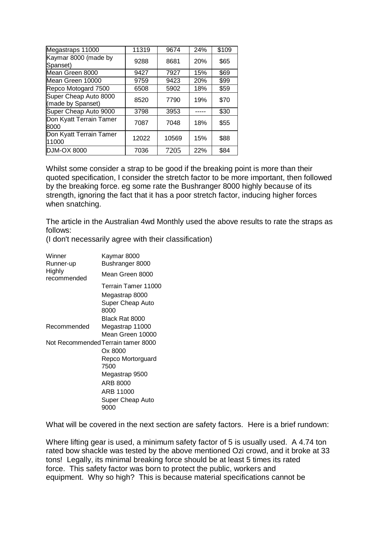| Megastraps 11000                           | 11319 | 9674  | 24% | \$109 |
|--------------------------------------------|-------|-------|-----|-------|
| Kaymar 8000 (made by<br>Spanset)           | 9288  | 8681  | 20% | \$65  |
| Mean Green 8000                            | 9427  | 7927  | 15% | \$69  |
| Mean Green 10000                           | 9759  | 9423  | 20% | \$99  |
| Repco Motogard 7500                        | 6508  | 5902  | 18% | \$59  |
| Super Cheap Auto 8000<br>(made by Spanset) | 8520  | 7790  | 19% | \$70  |
| Super Cheap Auto 9000                      | 3798  | 3953  |     | \$30  |
| Don Kyatt Terrain Tamer<br>8000            | 7087  | 7048  | 18% | \$55  |
| Don Kyatt Terrain Tamer<br>11000           | 12022 | 10569 | 15% | \$88  |
| <b>DJM-OX 8000</b>                         | 7036  | 7205  | 22% | \$84  |

Whilst some consider a strap to be good if the breaking point is more than their quoted specification, I consider the stretch factor to be more important, then followed by the breaking force. eg some rate the Bushranger 8000 highly because of its strength, ignoring the fact that it has a poor stretch factor, inducing higher forces when snatching.

The article in the Australian 4wd Monthly used the above results to rate the straps as follows:

(I don't necessarily agree with their classification)

| Winner<br>Runner-up   | Kaymar 8000<br>Bushranger 8000     |
|-----------------------|------------------------------------|
| Highly<br>recommended | Mean Green 8000                    |
|                       | Terrain Tamer 11000                |
|                       | Megastrap 8000                     |
|                       | Super Cheap Auto<br>8000           |
|                       | Black Rat 8000                     |
| Recommended           | Megastrap 11000                    |
|                       | Mean Green 10000                   |
|                       | Not Recommended Terrain tamer 8000 |
|                       | Ox 8000                            |
|                       | Repco Mortorguard<br>7500          |
|                       | Megastrap 9500                     |
|                       | ARB 8000                           |
|                       | ARB 11000                          |
|                       | Super Cheap Auto<br>9000           |

What will be covered in the next section are safety factors. Here is a brief rundown:

Where lifting gear is used, a minimum safety factor of 5 is usually used. A 4.74 ton rated bow shackle was tested by the above mentioned Ozi crowd, and it broke at 33 tons! Legally, its minimal breaking force should be at least 5 times its rated force. This safety factor was born to protect the public, workers and equipment. Why so high? This is because material specifications cannot be